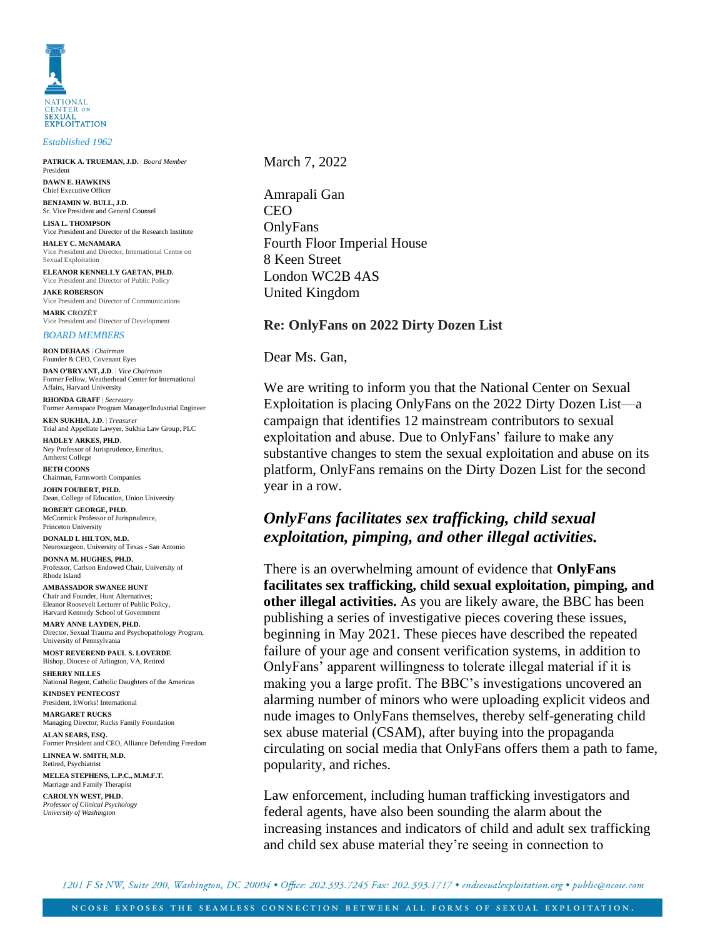

*Established 1962*

**PATRICK A. TRUEMAN, J.D.** | *Board Member* **PATRICK A. TRUEMAN, J.D.** | *Board Member* President **DAWN E. HAWKINS DAWN E. HAWKINS**

Chief Executive Officer **BENJAMIN W. BULL, J.D. BENJAMIN W. BULL, J.D.** Sr. Vice President and General Counsel

**LISA L. THOMPSON LISA L. THOMPSON** Vice President and Director of the Research Institute

**HALEY C. HALVERSON HALEY C. McNAMARA** Vice President and Director, International Centre on Sexual Exploitation Sexual Exploitation

**MARK CROZÉT ELEANOR KENNELLY GAETAN, PH.D.** Vice President and Director of Public Policy

**BAKE ROBERSON**<br>Vice President and Director of Communications **RON DEHAAS** | *Chairman* **MARK CROZÉT** Vice President and Director of Development **JAKE ROBERSON**

**DAN O'BRYANT, J.D**. | *Vice Chairman BOARD MEMBERS* **RON DEHAAS** | *Chairman* 

Founder & CEO, Covenant Eyes **DAN O'BRYANT, J.D**. | *Vice Chairman Former Fenow, wealthenead Center for International*<br>Affairs, Harvard University Former Fellow, Weatherhead Center for International

**HADNDA GRAFF** | Secretary<br>Former Aerospace Program Manager/Industrial Engineer **RHONDA GRAFF** | *Secretary*

Amherst College **KEN SUKHIA, J.D**. | *Treasurer* **BETH COONS** Trial and Appellate Lawyer, Sukhia Law Group, PLC

Chairman, Farnsworth Companies **HADLEY ARKES, PH.D**. Ney Professor of Jurisprudence, Emeritus, Amherst College

**RETH COONS**<br>Chairman, Farnsworth Companies **BETH COONS**

JOHN FOUBERT, PH.D. Dean, College of Education, Union University Neurosurgeon, University of Texas - San Antonio **ROBERT GEORGE, PH.D**.

**DECOMMENT HOTELS OF JUITSPIT**<br>Princeton University Professor, Carlson Endowed Chair, University of Rhode Island **DONALD L HILTON, M.D.** McCormick Professor of Jurisprudence,

Neurosurgeon, University of Texas - San Antonio DONNA M. **HUGHES, PH.D.** 

Professor, Carlson Endowed Chair, University of Rhode Island

**MARY ANNE LAYDEN, PH.D. AMBASSADOR SWANEE HUNT** Chair and Founder, Hunt Alternatives;<br>Eleanor Roosevelt Lecturer of Public Policy, Harvard Kennedy School of Government

Bishop, Dioceses of Arlington, VA, Retired **MARY ANNE LAYDEN, PH.D. SHERRY SEXUAL TRAINE AND THE AMERICAN STREET**<br>
University of Pennsylvania Director, Sexual Trauma and Psychopathology Program,

**KINDST REVEREND I ACE S. LOVERE MOST REVEREND PAUL S. LOVERDE**

**MARGARET RUCKS**<br>
Mational Regent, Catholic Daughters of the Americas **SHERRY NILLES**

**ALANDSEART ENTRECOST MANGARET NUCKS**<br>Managing Director, Rucks Family Foundation Retired, Psychiatrist **ALAN SEARS, ESQ. MEAN SEARS, ESQ.**<br>Former President and CEO, Alliance Defending Freedom **CAROLYN WEST, PH.D.** *Professor of Clinical Psychology* Retired, Psychiatrist *University of Washington* **MELEA STEPHENS, L.P.C., M.M.F.T.** Marriage and Family Therapist **KINDSEY PENTECOST MARGARET RUCKS LINNEA W. SMITH, M.D.**

*Former Associate Chief Justice, Utah Supreme Court* **CAROLYN WEST, PH.D.** *Professor of Clinical Psychology University of Washington*

March 7, 2022

Amrapali Gan CEO OnlyFans Fourth Floor Imperial House 8 Keen Street London WC2B 4AS United Kingdom

## **Re: OnlyFans on 2022 Dirty Dozen List**

Dear Ms. Gan,

We are writing to inform you that the National Center on Sexual Exploitation is placing OnlyFans on the 2022 Dirty Dozen List—a campaign that identifies 12 mainstream contributors to sexual exploitation and abuse. Due to OnlyFans' failure to make any substantive changes to stem the sexual exploitation and abuse on its platform, OnlyFans remains on the Dirty Dozen List for the second year in a row.

## *OnlyFans facilitates sex trafficking, child sexual exploitation, pimping, and other illegal activities.*

There is an overwhelming amount of evidence that **OnlyFans facilitates sex trafficking, child sexual exploitation, pimping, and other illegal activities.** As you are likely aware, the BBC has been publishing a series of investigative pieces covering these issues, beginning in May 2021. These pieces have described the repeated failure of your age and consent verification systems, in addition to OnlyFans' apparent willingness to tolerate illegal material if it is making you a large profit. The BBC's investigations uncovered an alarming number of minors who were uploading explicit videos and nude images to OnlyFans themselves, thereby self-generating child sex abuse material (CSAM), after buying into the propaganda circulating on social media that OnlyFans offers them a path to fame, popularity, and riches.

Law enforcement, including human trafficking investigators and federal agents, have also been sounding the alarm about the increasing instances and indicators of child and adult sex trafficking and child sex abuse material they're seeing in connection to

1201 F St NW, Suite 200, Washington, DC 20004 • Office: 202.393.7245 Fax: 202.393.1717 • endsexualexploitation.org • public@ncose.com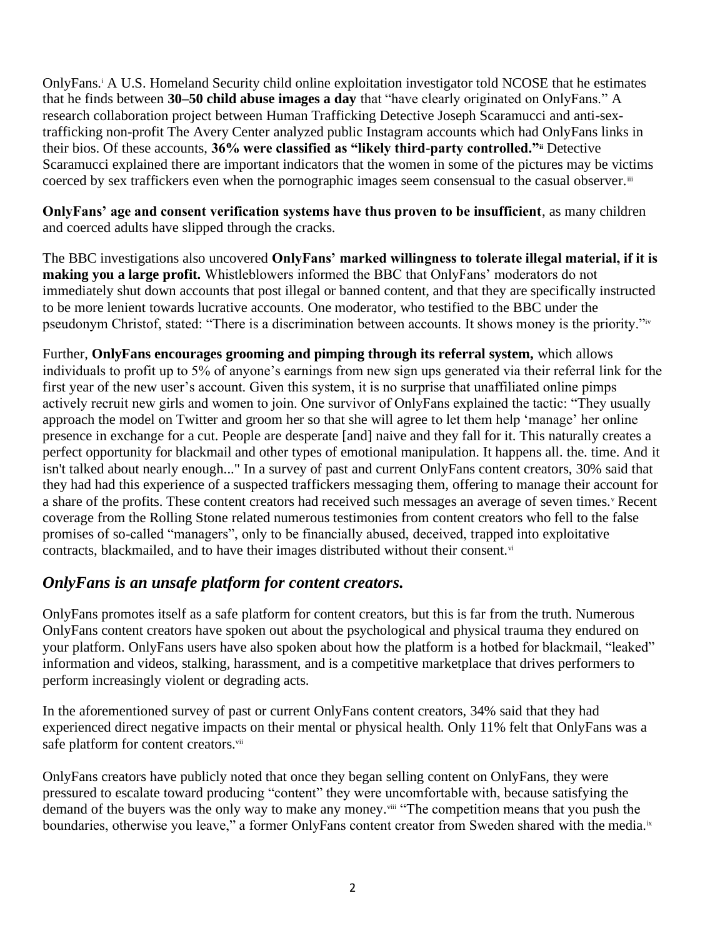OnlyFans.<sup>i</sup> A U.S. Homeland Security child online exploitation investigator told NCOSE that he estimates that he finds between **30–50 child abuse images a day** that "have clearly originated on OnlyFans." [A](https://theaverycenter.org/research/onlyfans/)  [research collaboration project](https://theaverycenter.org/research/onlyfans/) between Human Trafficking Detective Joseph Scaramucci and anti-sextrafficking non-profit The Avery Center analyzed public Instagram accounts which had OnlyFans links in their bios. Of these accounts, **36% were classified as "likely third-party controlled."ii** [Detective](https://news4sanantonio.com/news/trouble-shooters/investigators-say-onlyfans-is-being-used-by-traffickers-to-lure-victims-and-buyers)  [Scaramucci explained](https://news4sanantonio.com/news/trouble-shooters/investigators-say-onlyfans-is-being-used-by-traffickers-to-lure-victims-and-buyers) there are important indicators that the women in some of the pictures may be victims coerced by sex traffickers even when the pornographic images seem consensual to the casual observer.<sup>iii</sup>

**OnlyFans' age and consent verification systems have thus proven to be insufficient**, as many children and coerced adults have slipped through the cracks.

The BBC investigations also uncovered **OnlyFans' marked willingness to tolerate illegal material, if it is making you a large profit.** Whistleblowers informed the BBC that OnlyFans' moderators do not immediately shut down accounts that post illegal or banned content, and that they are specifically instructed to be more lenient towards lucrative accounts. One moderator, who testified to the BBC under the pseudonym Christof, stated: "There is a discrimination between accounts. It shows money is the priority."iv

Further, **OnlyFans encourages grooming and pimping through its referral system,** which allows individuals to profit up to 5% of anyone's earnings from new sign ups generated via their referral link for the first year of the new user's account. Given this system, it is no surprise that unaffiliated online pimps actively recruit new girls and women to join. One survivor of OnlyFans explained the tactic: "They usually approach the model on Twitter and groom her so that she will agree to let them help 'manage' her online presence in exchange for a cut. People are desperate [and] naive and they fall for it. This naturally creates a perfect opportunity for blackmail and other types of emotional manipulation. It happens all. the. time. And it isn't talked about nearly enough..." In a survey of past and current OnlyFans content creators, 30% said that they had had this experience of a suspected traffickers messaging them, offering to manage their account for a share of the profits. These content creators had received such messages an average of seven times.<sup>v</sup> Recent coverage from the Rolling Stone related numerous testimonies from content creators who fell to the false promises of so-called "managers", only to be financially abused, deceived, trapped into exploitative contracts, blackmailed, and to have their images distributed without their consent.<sup>vi</sup>

## *OnlyFans is an unsafe platform for content creators.*

OnlyFans promotes itself as a safe platform for content creators, but this is far from the truth. Numerous OnlyFans content creators have spoken out about the psychological and physical trauma they endured on your platform. OnlyFans users have also spoken about how the platform is a hotbed for blackmail, "leaked" information and videos, stalking, harassment, and is a competitive marketplace that drives performers to perform increasingly violent or degrading acts.

In the aforementioned survey of past or current OnlyFans content creators, 34% said that they had experienced direct negative impacts on their mental or physical health. Only 11% felt that OnlyFans was a safe platform for content creators.<sup>vii</sup>

OnlyFans creators have publicly noted that once they began selling content on OnlyFans, they were pressured to escalate toward producing "content" they were uncomfortable with, because satisfying the demand of the buyers was the only way to make any money.<sup>viii</sup> "The competition means that you push the boundaries, otherwise you leave," a former OnlyFans content creator from Sweden shared with the media.ix